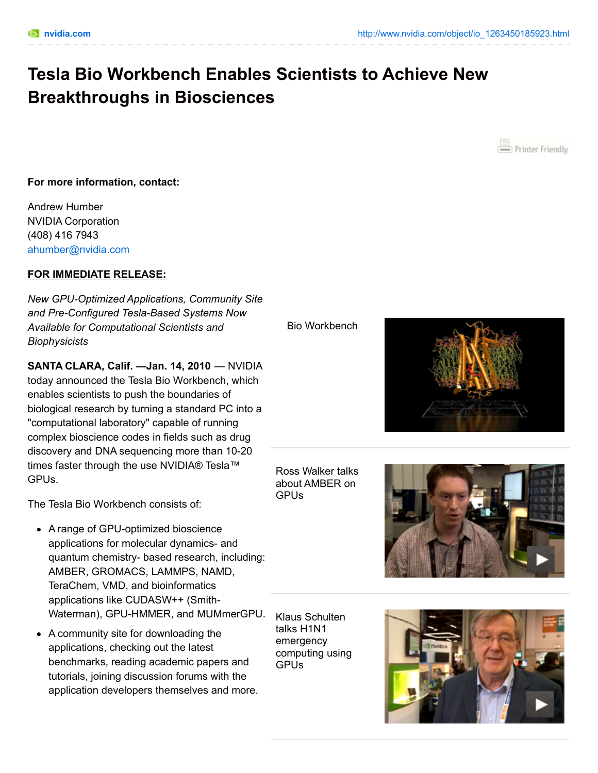# **Tesla Bio Workbench Enables Scientists to Achieve New Breakthroughs in Biosciences**



#### **For more information, contact:**

Andrew Humber NVIDIA Corporation (408) 416 7943 [ahumber@nvidia.com](mailto:ahumber@nvidia.com)

#### **FOR IMMEDIATE RELEASE:**

*New GPU-Optimized Applications, Community Site and Pre-Configured Tesla-Based Systems Now Available for Computational Scientists and Biophysicists*

**SANTA CLARA, Calif. —Jan. 14, 2010** — NVIDIA today announced the Tesla Bio Workbench, which enables scientists to push the boundaries of biological research by turning a standard PC into a "computational laboratory" capable of running complex bioscience codes in fields such as drug discovery and DNA sequencing more than 10-20 times faster through the use NVIDIA® Tesla™ GPUs.

The Tesla Bio Workbench consists of:

- A range of GPU-optimized bioscience applications for molecular dynamics- and quantum chemistry- based research, including: AMBER, GROMACS, LAMMPS, NAMD, TeraChem, VMD, and bioinformatics applications like CUDASW++ (Smith-Waterman), GPU-HMMER, and MUMmerGPU.
- A community site for downloading the applications, checking out the latest benchmarks, reading academic papers and tutorials, joining discussion forums with the application developers themselves and more.

Bio Workbench

Ross Walker talks about AMBER on GPUs

Klaus Schulten talks H1N1 emergency computing using **GPUs** 





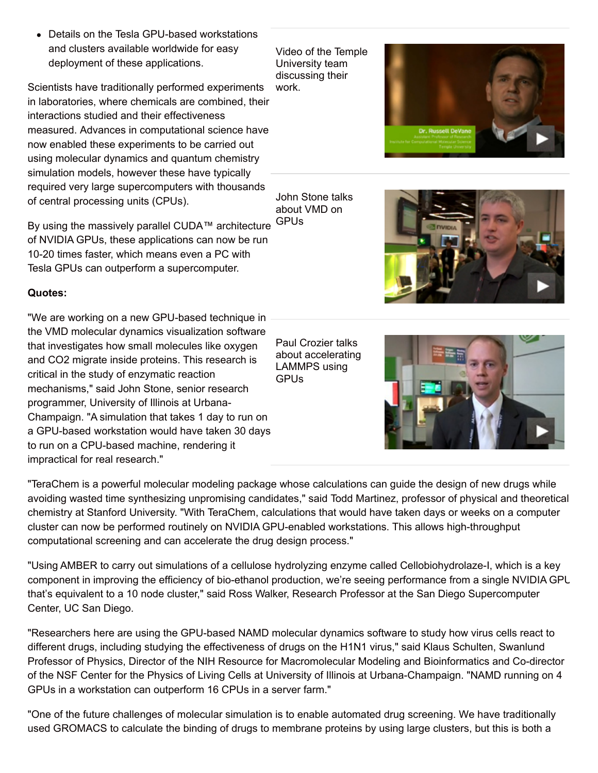Details on the Tesla GPU-based workstations and clusters available worldwide for easy deployment of these applications.

Scientists have traditionally performed experiments in laboratories, where chemicals are combined, their interactions studied and their effectiveness measured. Advances in computational science have now enabled these experiments to be carried out using molecular dynamics and quantum chemistry simulation models, however these have typically required very large supercomputers with thousands of central processing units (CPUs).

By using the massively parallel CUDA™ architecture GPUs of NVIDIA GPUs, these applications can now be run 10-20 times faster, which means even a PC with Tesla GPUs can outperform a supercomputer.

# **Quotes:**

"We are working on a new GPU-based technique in the VMD molecular dynamics visualization software that investigates how small molecules like oxygen and CO2 migrate inside proteins. This research is critical in the study of enzymatic reaction mechanisms," said John Stone, senior research programmer, University of Illinois at Urbana-Champaign. "A simulation that takes 1 day to run on a GPU-based workstation would have taken 30 days to run on a CPU-based machine, rendering it impractical for real research."

"TeraChem is a powerful molecular modeling package whose calculations can guide the design of new drugs while avoiding wasted time synthesizing unpromising candidates," said Todd Martinez, professor of physical and theoretical chemistry at Stanford University. "With TeraChem, calculations that would have taken days or weeks on a computer cluster can now be performed routinely on NVIDIA GPU-enabled workstations. This allows high-throughput computational screening and can accelerate the drug design process."

"Using AMBER to carry out simulations of a cellulose hydrolyzing enzyme called Cellobiohydrolaze-I, which is a key component in improving the efficiency of bio-ethanol production, we're seeing performance from a single NVIDIA GPU that's equivalent to a 10 node cluster," said Ross Walker, Research Professor at the San Diego Supercomputer Center, UC San Diego.

"Researchers here are using the GPU-based NAMD molecular dynamics software to study how virus cells react to different drugs, including studying the effectiveness of drugs on the H1N1 virus," said Klaus Schulten, Swanlund Professor of Physics, Director of the NIH Resource for Macromolecular Modeling and Bioinformatics and Co-director of the NSF Center for the Physics of Living Cells at University of Illinois at Urbana-Champaign. "NAMD running on 4 GPUs in a workstation can outperform 16 CPUs in a server farm."

"One of the future challenges of molecular simulation is to enable automated drug screening. We have traditionally used GROMACS to calculate the binding of drugs to membrane proteins by using large clusters, but this is both a

Video of the Temple University team discussing their work.

John Stone talks about VMD on